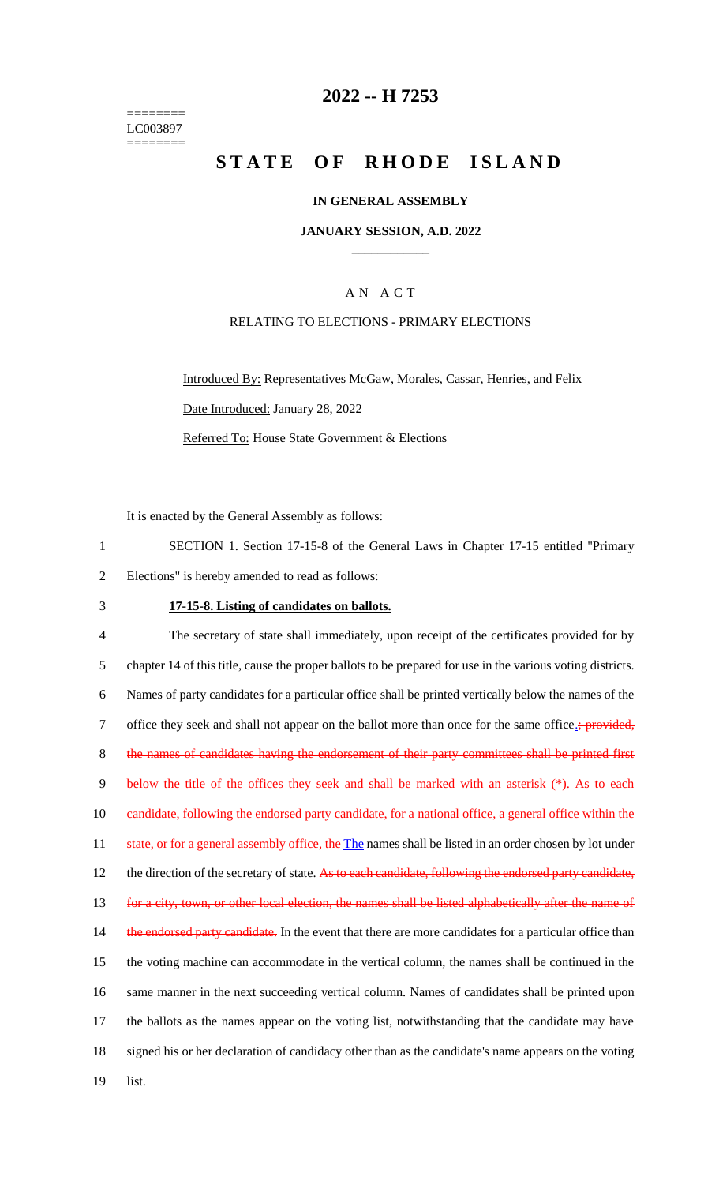======== LC003897 ========

## **2022 -- H 7253**

# **S T A T E O F R H O D E I S L A N D**

#### **IN GENERAL ASSEMBLY**

#### **JANUARY SESSION, A.D. 2022 \_\_\_\_\_\_\_\_\_\_\_\_**

### A N A C T

#### RELATING TO ELECTIONS - PRIMARY ELECTIONS

Introduced By: Representatives McGaw, Morales, Cassar, Henries, and Felix Date Introduced: January 28, 2022 Referred To: House State Government & Elections

It is enacted by the General Assembly as follows:

1 SECTION 1. Section 17-15-8 of the General Laws in Chapter 17-15 entitled "Primary 2 Elections" is hereby amended to read as follows:

### 3 **17-15-8. Listing of candidates on ballots.**

4 The secretary of state shall immediately, upon receipt of the certificates provided for by 5 chapter 14 of this title, cause the proper ballots to be prepared for use in the various voting districts. 6 Names of party candidates for a particular office shall be printed vertically below the names of the 7 office they seek and shall not appear on the ballot more than once for the same office.; provided, 8 the names of candidates having the endorsement of their party committees shall be printed first 9 below the title of the offices they seek and shall be marked with an asterisk (\*). As to each 10 candidate, following the endorsed party candidate, for a national office, a general office within the 11 state, or for a general assembly office, the The names shall be listed in an order chosen by lot under 12 the direction of the secretary of state. As to each candidate, following the endorsed party candidate, 13 for a city, town, or other local election, the names shall be listed alphabetically after the name of 14 the endorsed party candidate. In the event that there are more candidates for a particular office than 15 the voting machine can accommodate in the vertical column, the names shall be continued in the 16 same manner in the next succeeding vertical column. Names of candidates shall be printed upon 17 the ballots as the names appear on the voting list, notwithstanding that the candidate may have 18 signed his or her declaration of candidacy other than as the candidate's name appears on the voting 19 list.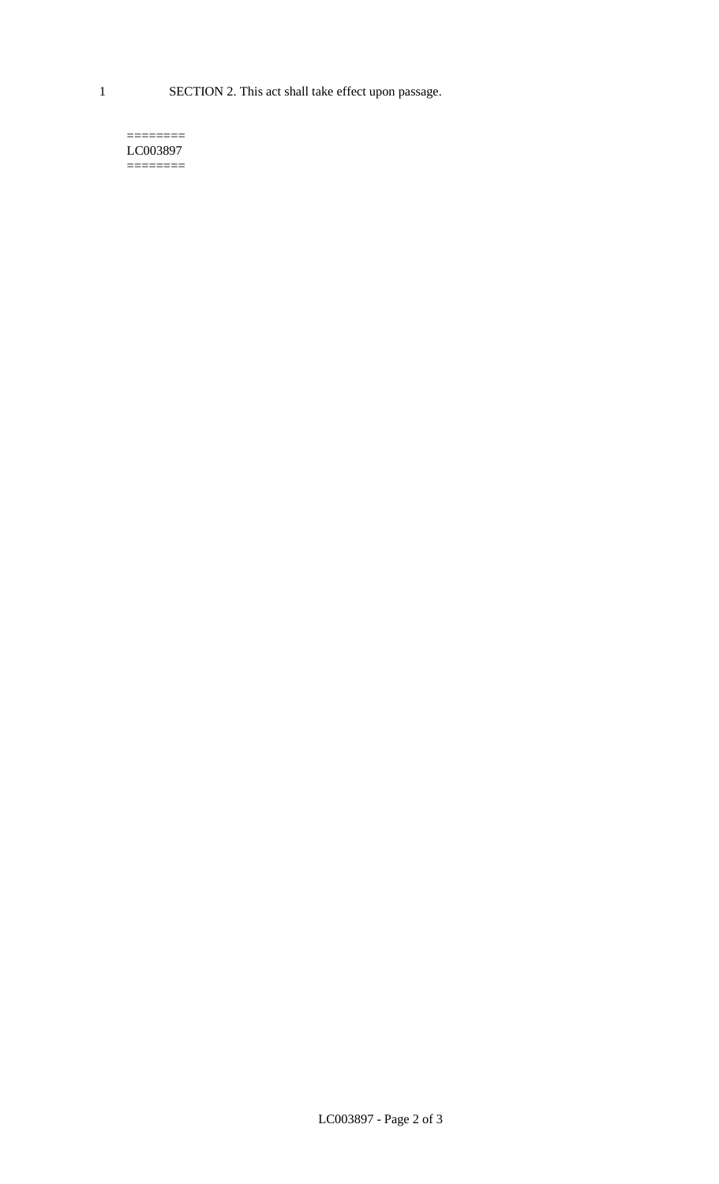1 SECTION 2. This act shall take effect upon passage.

 $=$ LC003897  $=$